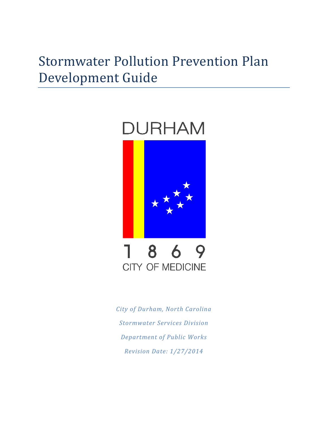# Stormwater Pollution Prevention Plan Development Guide

# **DURHAM**



# 1 8 6 9 **CITY OF MEDICINE**

*City of Durham, North Carolina Stormwater Services Division Department of Public Works Revision Date: 1/27/2014*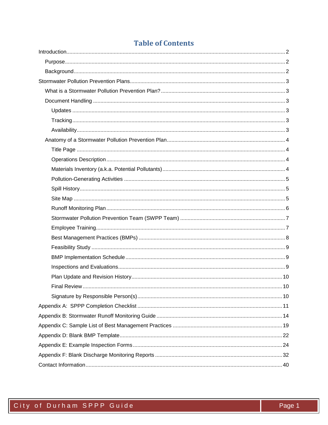## **Table of Contents**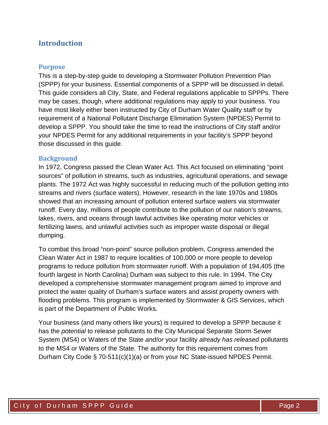## <span id="page-2-0"></span>**Introduction**

#### <span id="page-2-1"></span>**Purpose**

This is a step-by-step guide to developing a Stormwater Pollution Prevention Plan (SPPP) for your business. Essential components of a SPPP will be discussed in detail. This guide considers all City, State, and Federal regulations applicable to SPPPs. There may be cases, though, where additional regulations may apply to your business. You have most likely either been instructed by City of Durham Water Quality staff or by requirement of a National Pollutant Discharge Elimination System (NPDES) Permit to develop a SPPP. You should take the time to read the instructions of City staff and/or your NPDES Permit for any additional requirements in your facility's SPPP beyond those discussed in this guide.

#### <span id="page-2-2"></span>**Background**

In 1972, Congress passed the Clean Water Act. This Act focused on eliminating "point sources" of pollution in streams, such as industries, agricultural operations, and sewage plants. The 1972 Act was highly successful in reducing much of the pollution getting into streams and rivers (surface waters). However, research in the late 1970s and 1980s showed that an increasing amount of pollution entered surface waters via stormwater runoff. Every day, millions of people contribute to the pollution of our nation's streams, lakes, rivers, and oceans through lawful activities like operating motor vehicles or fertilizing lawns, and unlawful activities such as improper waste disposal or illegal dumping.

To combat this broad "non-point" source pollution problem, Congress amended the Clean Water Act in 1987 to require localities of 100,000 or more people to develop programs to reduce pollution from stormwater runoff. With a population of 194,405 (the fourth largest in North Carolina) Durham was subject to this rule. In 1994, The City developed a comprehensive stormwater management program aimed to improve and protect the water quality of Durham's surface waters and assist property owners with flooding problems. This program is implemented by Stormwater & GIS Services, which is part of the Department of Public Works.

Your business (and many others like yours) is required to develop a SPPP because it has the *potential* to release pollutants to the City Municipal Separate Storm Sewer System (MS4) or Waters of the State *and/or* your facility *already has released* pollutants to the MS4 or Waters of the State. The authority for this requirement comes from Durham City Code § 70-511(c)(1)(a) or from your NC State-issued NPDES Permit.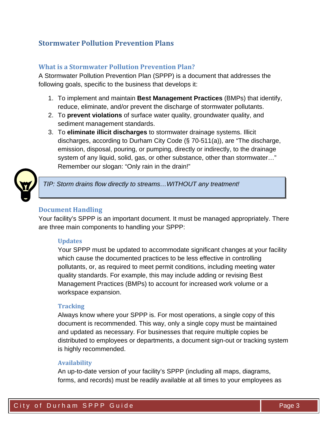## <span id="page-3-0"></span>**Stormwater Pollution Prevention Plans**

## <span id="page-3-1"></span>**What is a Stormwater Pollution Prevention Plan?**

A Stormwater Pollution Prevention Plan (SPPP) is a document that addresses the following goals, specific to the business that develops it:

- 1. To implement and maintain **Best Management Practices** (BMPs) that identify, reduce, eliminate, and/or prevent the discharge of stormwater pollutants.
- 2. To **prevent violations** of surface water quality, groundwater quality, and sediment management standards.
- 3. To **eliminate illicit discharges** to stormwater drainage systems. Illicit discharges, according to Durham City Code (§ 70-511(a)), are "The discharge, emission, disposal, pouring, or pumping, directly or indirectly, to the drainage system of any liquid, solid, gas, or other substance, other than stormwater…" Remember our slogan: "Only rain in the drain!"



*TIP: Storm drains flow directly to streams…WITHOUT any treatment!*

#### <span id="page-3-2"></span>**Document Handling**

Your facility's SPPP is an important document. It must be managed appropriately. There are three main components to handling your SPPP:

#### <span id="page-3-3"></span>**Updates**

Your SPPP must be updated to accommodate significant changes at your facility which cause the documented practices to be less effective in controlling pollutants, or, as required to meet permit conditions, including meeting water quality standards. For example, this may include adding or revising Best Management Practices (BMPs) to account for increased work volume or a workspace expansion.

#### <span id="page-3-4"></span>**Tracking**

Always know where your SPPP is. For most operations, a single copy of this document is recommended. This way, only a single copy must be maintained and updated as necessary. For businesses that require multiple copies be distributed to employees or departments, a document sign-out or tracking system is highly recommended.

#### <span id="page-3-5"></span>**Availability**

An up-to-date version of your facility's SPPP (including all maps, diagrams, forms, and records) must be readily available at all times to your employees as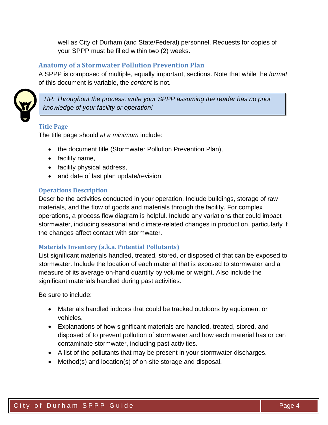well as City of Durham (and State/Federal) personnel. Requests for copies of your SPPP must be filled within two (2) weeks.

## <span id="page-4-0"></span>**Anatomy of a Stormwater Pollution Prevention Plan**

A SPPP is composed of multiple, equally important, sections. Note that while the *format* of this document is variable, the *content* is not.



*TIP: Throughout the process, write your SPPP assuming the reader has no prior knowledge of your facility or operation!*

#### <span id="page-4-1"></span>**Title Page**

The title page should *at a minimum* include:

- the document title (Stormwater Pollution Prevention Plan),
- facility name,
- facility physical address,
- and date of last plan update/revision.

#### <span id="page-4-2"></span>**Operations Description**

Describe the activities conducted in your operation. Include buildings, storage of raw materials, and the flow of goods and materials through the facility. For complex operations, a process flow diagram is helpful. Include any variations that could impact stormwater, including seasonal and climate-related changes in production, particularly if the changes affect contact with stormwater.

#### <span id="page-4-3"></span>**Materials Inventory (a.k.a. Potential Pollutants)**

List significant materials handled, treated, stored, or disposed of that can be exposed to stormwater. Include the location of each material that is exposed to stormwater and a measure of its average on-hand quantity by volume or weight. Also include the significant materials handled during past activities.

Be sure to include:

- Materials handled indoors that could be tracked outdoors by equipment or vehicles.
- Explanations of how significant materials are handled, treated, stored, and disposed of to prevent pollution of stormwater and how each material has or can contaminate stormwater, including past activities.
- A list of the pollutants that may be present in your stormwater discharges.
- Method(s) and location(s) of on-site storage and disposal.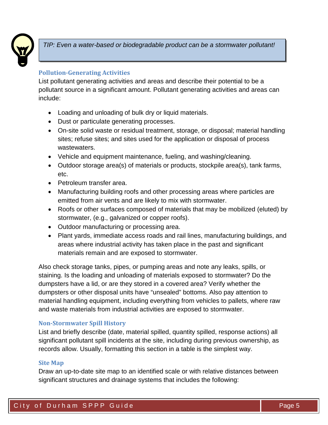

*TIP: Even a water-based or biodegradable product can be a stormwater pollutant!* 

## <span id="page-5-0"></span>**Pollution-Generating Activities**

List pollutant generating activities and areas and describe their potential to be a pollutant source in a significant amount. Pollutant generating activities and areas can include:

- Loading and unloading of bulk dry or liquid materials.
- Dust or particulate generating processes.
- On-site solid waste or residual treatment, storage, or disposal; material handling sites; refuse sites; and sites used for the application or disposal of process wastewaters.
- Vehicle and equipment maintenance, fueling, and washing/cleaning.
- Outdoor storage area(s) of materials or products, stockpile area(s), tank farms, etc.
- Petroleum transfer area.
- Manufacturing building roofs and other processing areas where particles are emitted from air vents and are likely to mix with stormwater.
- Roofs or other surfaces composed of materials that may be mobilized (eluted) by stormwater, (e.g., galvanized or copper roofs).
- Outdoor manufacturing or processing area.
- Plant yards, immediate access roads and rail lines, manufacturing buildings, and areas where industrial activity has taken place in the past and significant materials remain and are exposed to stormwater.

Also check storage tanks, pipes, or pumping areas and note any leaks, spills, or staining. Is the loading and unloading of materials exposed to stormwater? Do the dumpsters have a lid, or are they stored in a covered area? Verify whether the dumpsters or other disposal units have "unsealed" bottoms. Also pay attention to material handling equipment, including everything from vehicles to pallets, where raw and waste materials from industrial activities are exposed to stormwater.

## <span id="page-5-1"></span>**Non-Stormwater Spill History**

List and briefly describe (date, material spilled, quantity spilled, response actions) all significant pollutant spill incidents at the site, including during previous ownership, as records allow. Usually, formatting this section in a table is the simplest way.

## <span id="page-5-2"></span>**Site Map**

Draw an up-to-date site map to an identified scale or with relative distances between significant structures and drainage systems that includes the following: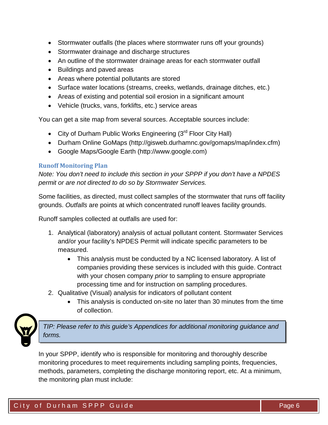- Stormwater outfalls (the places where stormwater runs off your grounds)
- Stormwater drainage and discharge structures
- An outline of the stormwater drainage areas for each stormwater outfall
- Buildings and paved areas
- Areas where potential pollutants are stored
- Surface water locations (streams, creeks, wetlands, drainage ditches, etc.)
- Areas of existing and potential soil erosion in a significant amount
- Vehicle (trucks, vans, forklifts, etc.) service areas

You can get a site map from several sources. Acceptable sources include:

- City of Durham Public Works Engineering (3<sup>rd</sup> Floor City Hall)
- Durham Online GoMaps (http://gisweb.durhamnc.gov/gomaps/map/index.cfm)
- Google Maps/Google Earth (http://www.google.com)

## <span id="page-6-0"></span>**Runoff Monitoring Plan**

*Note: You don't need to include this section in your SPPP if you don't have a NPDES permit or are not directed to do so by Stormwater Services.*

Some facilities, as directed, must collect samples of the stormwater that runs off facility grounds. *Outfalls* are points at which concentrated runoff leaves facility grounds.

Runoff samples collected at outfalls are used for:

- 1. Analytical (laboratory) analysis of actual pollutant content. Stormwater Services and/or your facility's NPDES Permit will indicate specific parameters to be measured.
	- This analysis must be conducted by a NC licensed laboratory. A list of companies providing these services is included with this guide. Contract with your chosen company *prior* to sampling to ensure appropriate processing time and for instruction on sampling procedures.
- 2. Qualitative (Visual) analysis for indicators of pollutant content
	- This analysis is conducted on-site no later than 30 minutes from the time of collection.



*TIP: Please refer to this guide's Appendices for additional monitoring guidance and forms.*

In your SPPP, identify who is responsible for monitoring and thoroughly describe monitoring procedures to meet requirements including sampling points, frequencies, methods, parameters, completing the discharge monitoring report, etc. At a minimum, the monitoring plan must include: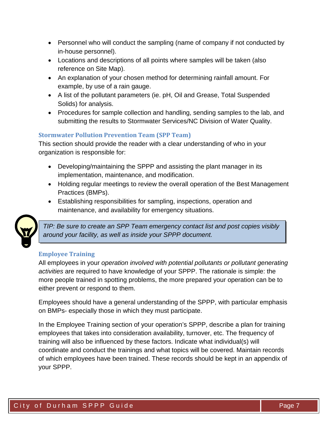- Personnel who will conduct the sampling (name of company if not conducted by in-house personnel).
- Locations and descriptions of all points where samples will be taken (also reference on Site Map).
- An explanation of your chosen method for determining rainfall amount. For example, by use of a rain gauge.
- A list of the pollutant parameters (ie. pH, Oil and Grease, Total Suspended Solids) for analysis.
- Procedures for sample collection and handling, sending samples to the lab, and submitting the results to Stormwater Services/NC Division of Water Quality.

## <span id="page-7-0"></span>**Stormwater Pollution Prevention Team (SPP Team)**

This section should provide the reader with a clear understanding of who in your organization is responsible for:

- Developing/maintaining the SPPP and assisting the plant manager in its implementation, maintenance, and modification.
- Holding regular meetings to review the overall operation of the Best Management Practices (BMPs).
- Establishing responsibilities for sampling, inspections, operation and maintenance, and availability for emergency situations.



*TIP: Be sure to create an SPP Team emergency contact list and post copies visibly around your facility, as well as inside your SPPP document.* 

## <span id="page-7-1"></span>**Employee Training**

All employees in your *operation involved with potential pollutants or pollutant generating activities* are required to have knowledge of your SPPP. The rationale is simple: the more people trained in spotting problems, the more prepared your operation can be to either prevent or respond to them.

Employees should have a general understanding of the SPPP, with particular emphasis on BMPs- especially those in which they must participate.

In the Employee Training section of your operation's SPPP, describe a plan for training employees that takes into consideration availability, turnover, etc. The frequency of training will also be influenced by these factors. Indicate what individual(s) will coordinate and conduct the trainings and what topics will be covered. Maintain records of which employees have been trained. These records should be kept in an appendix of your SPPP.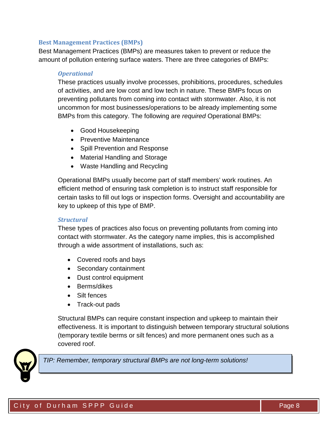#### <span id="page-8-0"></span>**Best Management Practices (BMPs)**

Best Management Practices (BMPs) are measures taken to prevent or reduce the amount of pollution entering surface waters. There are three categories of BMPs:

#### *Operational*

These practices usually involve processes, prohibitions, procedures, schedules of activities, and are low cost and low tech in nature. These BMPs focus on preventing pollutants from coming into contact with stormwater. Also, it is not uncommon for most businesses/operations to be already implementing some BMPs from this category. The following are *required* Operational BMPs:

- Good Housekeeping
- Preventive Maintenance
- Spill Prevention and Response
- Material Handling and Storage
- Waste Handling and Recycling

Operational BMPs usually become part of staff members' work routines. An efficient method of ensuring task completion is to instruct staff responsible for certain tasks to fill out logs or inspection forms. Oversight and accountability are key to upkeep of this type of BMP.

#### *Structural*

These types of practices also focus on preventing pollutants from coming into contact with stormwater. As the category name implies, this is accomplished through a wide assortment of installations, such as:

- Covered roofs and bays
- Secondary containment
- Dust control equipment
- Berms/dikes
- Silt fences
- Track-out pads

Structural BMPs can require constant inspection and upkeep to maintain their effectiveness. It is important to distinguish between temporary structural solutions (temporary textile berms or silt fences) and more permanent ones such as a covered roof.



*TIP: Remember, temporary structural BMPs are not long-term solutions!*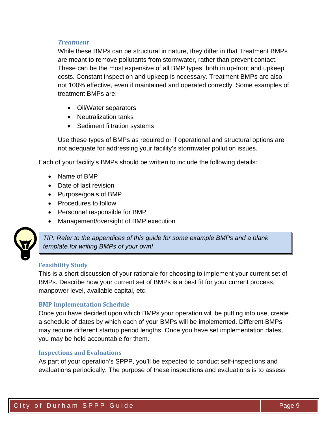#### *Treatment*

While these BMPs can be structural in nature, they differ in that Treatment BMPs are meant to remove pollutants from stormwater, rather than prevent contact. These can be the most expensive of all BMP types, both in up-front and upkeep costs. Constant inspection and upkeep is necessary. Treatment BMPs are also not 100% effective, even if maintained and operated correctly. Some examples of treatment BMPs are:

- Oil/Water separators
- Neutralization tanks
- Sediment filtration systems

Use these types of BMPs as required or if operational and structural options are not adequate for addressing your facility's stormwater pollution issues.

Each of your facility's BMPs should be written to include the following details:

- Name of BMP
- Date of last revision
- Purpose/goals of BMP
- Procedures to follow
- Personnel responsible for BMP
- Management/oversight of BMP execution



*TIP: Refer to the appendices of this guide for some example BMPs and a blank template for writing BMPs of your own!*

#### <span id="page-9-0"></span>**Feasibility Study**

This is a short discussion of your rationale for choosing to implement your current set of BMPs. Describe how your current set of BMPs is a best fit for your current process, manpower level, available capital, etc.

## <span id="page-9-1"></span>**BMP Implementation Schedule**

Once you have decided upon which BMPs your operation will be putting into use, create a schedule of dates by which each of your BMPs will be implemented. Different BMPs may require different startup period lengths. Once you have set implementation dates, you may be held accountable for them.

#### <span id="page-9-2"></span>**Inspections and Evaluations**

As part of your operation's SPPP, you'll be expected to conduct self-inspections and evaluations periodically. The purpose of these inspections and evaluations is to assess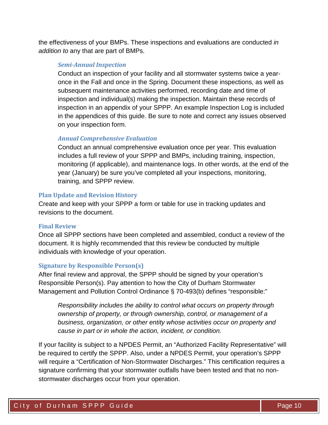the effectiveness of your BMPs. These inspections and evaluations are conducted *in addition to* any that are part of BMPs.

#### *Semi-Annual Inspection*

Conduct an inspection of your facility and all stormwater systems twice a yearonce in the Fall and once in the Spring. Document these inspections, as well as subsequent maintenance activities performed, recording date and time of inspection and individual(s) making the inspection. Maintain these records of inspection in an appendix of your SPPP. An example Inspection Log is included in the appendices of this guide. Be sure to note and correct any issues observed on your inspection form.

#### *Annual Comprehensive Evaluation*

Conduct an annual comprehensive evaluation once per year. This evaluation includes a full review of your SPPP and BMPs, including training, inspection, monitoring (if applicable), and maintenance logs. In other words, at the end of the year (January) be sure you've completed all your inspections, monitoring, training, and SPPP review.

#### <span id="page-10-0"></span>**Plan Update and Revision History**

Create and keep with your SPPP a form or table for use in tracking updates and revisions to the document.

#### <span id="page-10-1"></span>**Final Review**

Once all SPPP sections have been completed and assembled, conduct a review of the document. It is highly recommended that this review be conducted by multiple individuals with knowledge of your operation.

#### <span id="page-10-2"></span>**Signature by Responsible Person(s)**

After final review and approval, the SPPP should be signed by your operation's Responsible Person(s). Pay attention to how the City of Durham Stormwater Management and Pollution Control Ordinance § 70-493(b) defines "responsible:"

*Responsibility includes the ability to control what occurs on property through ownership of property, or through ownership, control, or management of a business, organization, or other entity whose activities occur on property and cause in part or in whole the action, incident, or condition.*

If your facility is subject to a NPDES Permit, an "Authorized Facility Representative" will be required to certify the SPPP. Also, under a NPDES Permit, your operation's SPPP will require a "Certification of Non-Stormwater Discharges." This certification requires a signature confirming that your stormwater outfalls have been tested and that no nonstormwater discharges occur from your operation.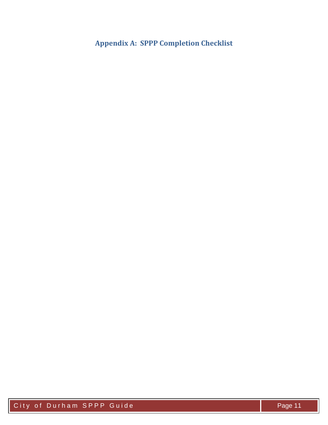## <span id="page-11-0"></span>**Appendix A: SPPP Completion Checklist**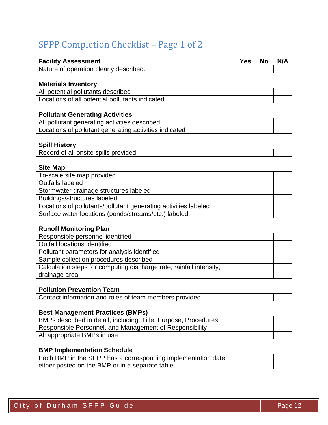## SPPP Completion Checklist – Page 1 of 2

| <b>Facility Assessment</b>                                      | <b>Yes</b> | No | N/A |
|-----------------------------------------------------------------|------------|----|-----|
| Nature of operation clearly described.                          |            |    |     |
|                                                                 |            |    |     |
| <b>Materials Inventory</b>                                      |            |    |     |
| All potential pollutants described                              |            |    |     |
| Locations of all potential pollutants indicated                 |            |    |     |
|                                                                 |            |    |     |
| <b>Pollutant Generating Activities</b>                          |            |    |     |
| All pollutant generating activities described                   |            |    |     |
| Locations of pollutant generating activities indicated          |            |    |     |
| <b>Spill History</b>                                            |            |    |     |
| Record of all onsite spills provided                            |            |    |     |
| <b>Site Map</b>                                                 |            |    |     |
| To-scale site map provided                                      |            |    |     |
| <b>Outfalls labeled</b>                                         |            |    |     |
| Stormwater drainage structures labeled                          |            |    |     |
| Buildings/structures labeled                                    |            |    |     |
| Locations of pollutants/pollutant generating activities labeled |            |    |     |
| Surface water locations (ponds/streams/etc.) labeled            |            |    |     |

#### **Runoff Monitoring Plan**

| Responsible personnel identified                                    |  |  |
|---------------------------------------------------------------------|--|--|
| <b>Outfall locations identified</b>                                 |  |  |
| Pollutant parameters for analysis identified                        |  |  |
| Sample collection procedures described                              |  |  |
| Calculation steps for computing discharge rate, rainfall intensity, |  |  |
| drainage area                                                       |  |  |

## **Pollution Prevention Team**

| Contact information and roles of team members provided |  |  |
|--------------------------------------------------------|--|--|
|                                                        |  |  |

#### **Best Management Practices (BMPs)**

| BMPs described in detail, including: Title, Purpose, Procedures, |  |  |
|------------------------------------------------------------------|--|--|
| Responsible Personnel, and Management of Responsibility          |  |  |
| All appropriate BMPs in use                                      |  |  |

## **BMP Implementation Schedule**

| Each BMP in the SPPP has a corresponding implementation date |  |  |
|--------------------------------------------------------------|--|--|
| either posted on the BMP or in a separate table              |  |  |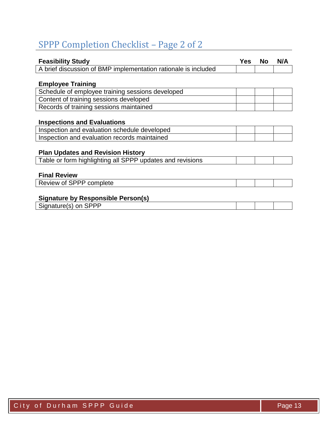# SPPP Completion Checklist – Page 2 of 2

| <b>Feasibility Study</b>                                       | Yes | No | N/A |
|----------------------------------------------------------------|-----|----|-----|
| A brief discussion of BMP implementation rationale is included |     |    |     |
|                                                                |     |    |     |
| <b>Employee Training</b>                                       |     |    |     |
| Schedule of employee training sessions developed               |     |    |     |
| Content of training sessions developed                         |     |    |     |
| Records of training sessions maintained                        |     |    |     |
|                                                                |     |    |     |
| <b>Inspections and Evaluations</b>                             |     |    |     |
| Inspection and evaluation schedule developed                   |     |    |     |
| Inspection and evaluation records maintained                   |     |    |     |
|                                                                |     |    |     |
| <b>Plan Updates and Revision History</b>                       |     |    |     |
| Table or form highlighting all SPPP updates and revisions      |     |    |     |
|                                                                |     |    |     |
| <b>Final Review</b>                                            |     |    |     |
| Review of SPPP complete                                        |     |    |     |
|                                                                |     |    |     |
| <b>Signature by Responsible Person(s)</b>                      |     |    |     |
| Signature(s) on SPPP                                           |     |    |     |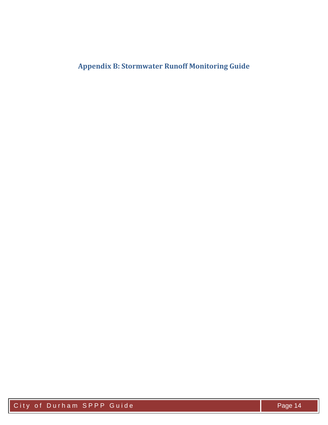## <span id="page-14-0"></span>**Appendix B: Stormwater Runoff Monitoring Guide**

City of Durham SPPP Guide Page 14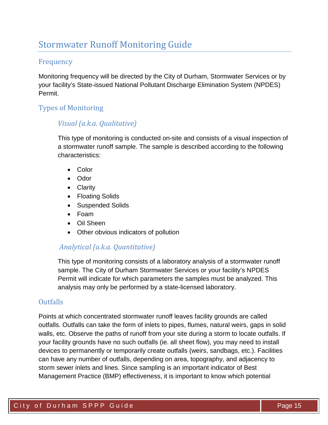## Stormwater Runoff Monitoring Guide

## Frequency

Monitoring frequency will be directed by the City of Durham, Stormwater Services or by your facility's State-issued National Pollutant Discharge Elimination System (NPDES) Permit.

## Types of Monitoring

## *Visual (a.k.a. Qualitative)*

This type of monitoring is conducted on-site and consists of a visual inspection of a stormwater runoff sample. The sample is described according to the following characteristics:

- Color
- Odor
- Clarity
- Floating Solids
- Suspended Solids
- Foam
- Oil Sheen
- Other obvious indicators of pollution

## *Analytical (a.k.a. Quantitative)*

This type of monitoring consists of a laboratory analysis of a stormwater runoff sample. The City of Durham Stormwater Services or your facility's NPDES Permit will indicate for which parameters the samples must be analyzed. This analysis may only be performed by a state-licensed laboratory.

## Outfalls

Points at which concentrated stormwater runoff leaves facility grounds are called outfalls. Outfalls can take the form of inlets to pipes, flumes, natural weirs, gaps in solid walls, etc. Observe the paths of runoff from your site during a storm to locate outfalls. If your facility grounds have no such outfalls (ie. all sheet flow), you may need to install devices to permanently or temporarily create outfalls (weirs, sandbags, etc.). Facilities can have any number of outfalls, depending on area, topography, and adjacency to storm sewer inlets and lines. Since sampling is an important indicator of Best Management Practice (BMP) effectiveness, it is important to know which potential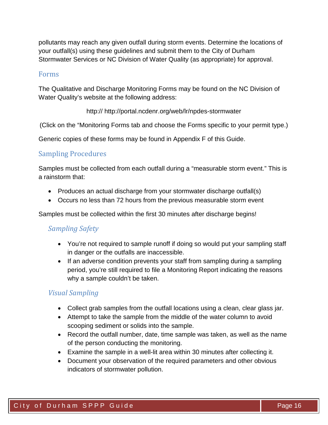pollutants may reach any given outfall during storm events. Determine the locations of your outfall(s) using these guidelines and submit them to the City of Durham Stormwater Services or NC Division of Water Quality (as appropriate) for approval.

#### Forms

The Qualitative and Discharge Monitoring Forms may be found on the NC Division of Water Quality's website at the following address:

http:// http://portal.ncdenr.org/web/lr/npdes-stormwater

(Click on the "Monitoring Forms tab and choose the Forms specific to your permit type.)

Generic copies of these forms may be found in Appendix F of this Guide.

## Sampling Procedures

Samples must be collected from each outfall during a "measurable storm event." This is a rainstorm that:

- Produces an actual discharge from your stormwater discharge outfall(s)
- Occurs no less than 72 hours from the previous measurable storm event

Samples must be collected within the first 30 minutes after discharge begins!

## *Sampling Safety*

- You're not required to sample runoff if doing so would put your sampling staff in danger or the outfalls are inaccessible.
- If an adverse condition prevents your staff from sampling during a sampling period, you're still required to file a Monitoring Report indicating the reasons why a sample couldn't be taken.

## *Visual Sampling*

- Collect grab samples from the outfall locations using a clean, clear glass jar.
- Attempt to take the sample from the middle of the water column to avoid scooping sediment or solids into the sample.
- Record the outfall number, date, time sample was taken, as well as the name of the person conducting the monitoring.
- Examine the sample in a well-lit area within 30 minutes after collecting it.
- Document your observation of the required parameters and other obvious indicators of stormwater pollution.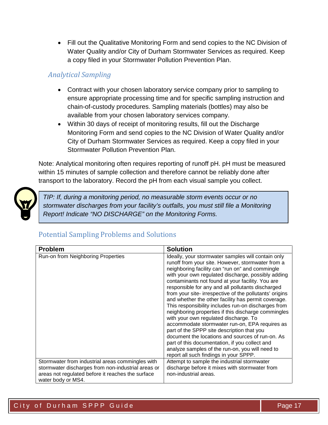• Fill out the Qualitative Monitoring Form and send copies to the NC Division of Water Quality and/or City of Durham Stormwater Services as required. Keep a copy filed in your Stormwater Pollution Prevention Plan.

## *Analytical Sampling*

- Contract with your chosen laboratory service company prior to sampling to ensure appropriate processing time and for specific sampling instruction and chain-of-custody procedures. Sampling materials (bottles) may also be available from your chosen laboratory services company.
- Within 30 days of receipt of monitoring results, fill out the Discharge Monitoring Form and send copies to the NC Division of Water Quality and/or City of Durham Stormwater Services as required. Keep a copy filed in your Stormwater Pollution Prevention Plan.

Note: Analytical monitoring often requires reporting of runoff pH. pH must be measured within 15 minutes of sample collection and therefore cannot be reliably done after transport to the laboratory. Record the pH from each visual sample you collect.



*TIP: If, during a monitoring period, no measurable storm events occur or no stormwater discharges from your facility's outfalls, you must still file a Monitoring Report! Indicate "NO DISCHARGE" on the Monitoring Forms.* 

## Potential Sampling Problems and Solutions

| <b>Problem</b>                                                                                                                                                                    | <b>Solution</b>                                                                                                                                                                                                                                                                                                                                                                                                                                                                                                                                                                                                                                                                                                                                                                                                                                                                                      |
|-----------------------------------------------------------------------------------------------------------------------------------------------------------------------------------|------------------------------------------------------------------------------------------------------------------------------------------------------------------------------------------------------------------------------------------------------------------------------------------------------------------------------------------------------------------------------------------------------------------------------------------------------------------------------------------------------------------------------------------------------------------------------------------------------------------------------------------------------------------------------------------------------------------------------------------------------------------------------------------------------------------------------------------------------------------------------------------------------|
| Run-on from Neighboring Properties                                                                                                                                                | Ideally, your stormwater samples will contain only<br>runoff from your site. However, stormwater from a<br>neighboring facility can "run on" and commingle<br>with your own regulated discharge, possibly adding<br>contaminants not found at your facility. You are<br>responsible for any and all pollutants discharged<br>from your site-irrespective of the pollutants' origins<br>and whether the other facility has permit coverage.<br>This responsibility includes run-on discharges from<br>neighboring properties if this discharge commingles<br>with your own regulated discharge. To<br>accommodate stormwater run-on, EPA requires as<br>part of the SPPP site description that you<br>document the locations and sources of run-on. As<br>part of this documentation, if you collect and<br>analyze samples of the run-on, you will need to<br>report all such findings in your SPPP. |
| Stormwater from industrial areas commingles with<br>stormwater discharges from non-industrial areas or<br>areas not regulated before it reaches the surface<br>water body or MS4. | Attempt to sample the industrial stormwater<br>discharge before it mixes with stormwater from<br>non-industrial areas.                                                                                                                                                                                                                                                                                                                                                                                                                                                                                                                                                                                                                                                                                                                                                                               |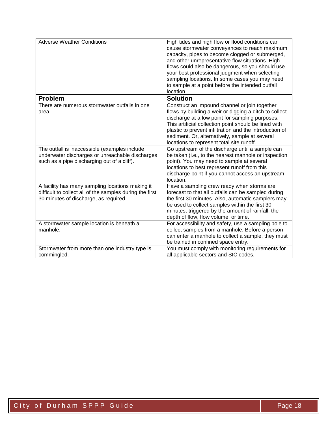| <b>Adverse Weather Conditions</b>                                                                                                                     | High tides and high flow or flood conditions can<br>cause stormwater conveyances to reach maximum<br>capacity, pipes to become clogged or submerged,<br>and other unrepresentative flow situations. High<br>flows could also be dangerous, so you should use<br>your best professional judgment when selecting<br>sampling locations. In some cases you may need<br>to sample at a point before the intended outfall<br>location. |
|-------------------------------------------------------------------------------------------------------------------------------------------------------|-----------------------------------------------------------------------------------------------------------------------------------------------------------------------------------------------------------------------------------------------------------------------------------------------------------------------------------------------------------------------------------------------------------------------------------|
| <b>Problem</b>                                                                                                                                        | <b>Solution</b>                                                                                                                                                                                                                                                                                                                                                                                                                   |
| There are numerous stormwater outfalls in one<br>area.                                                                                                | Construct an impound channel or join together<br>flows by building a weir or digging a ditch to collect<br>discharge at a low point for sampling purposes.<br>This artificial collection point should be lined with<br>plastic to prevent infiltration and the introduction of<br>sediment. Or, alternatively, sample at several<br>locations to represent total site runoff.                                                     |
| The outfall is inaccessible (examples include<br>underwater discharges or unreachable discharges<br>such as a pipe discharging out of a cliff).       | Go upstream of the discharge until a sample can<br>be taken (i.e., to the nearest manhole or inspection<br>point). You may need to sample at several<br>locations to best represent runoff from this<br>discharge point if you cannot access an upstream<br>location.                                                                                                                                                             |
| A facility has many sampling locations making it<br>difficult to collect all of the samples during the first<br>30 minutes of discharge, as required. | Have a sampling crew ready when storms are<br>forecast to that all outfalls can be sampled during<br>the first 30 minutes. Also, automatic samplers may<br>be used to collect samples within the first 30<br>minutes, triggered by the amount of rainfall, the<br>depth of flow, flow volume, or time.                                                                                                                            |
| A stormwater sample location is beneath a<br>manhole.                                                                                                 | For accessibility and safety, use a sampling pole to<br>collect samples from a manhole. Before a person<br>can enter a manhole to collect a sample, they must<br>be trained in confined space entry.                                                                                                                                                                                                                              |
| Stormwater from more than one industry type is<br>commingled.                                                                                         | You must comply with monitoring requirements for<br>all applicable sectors and SIC codes.                                                                                                                                                                                                                                                                                                                                         |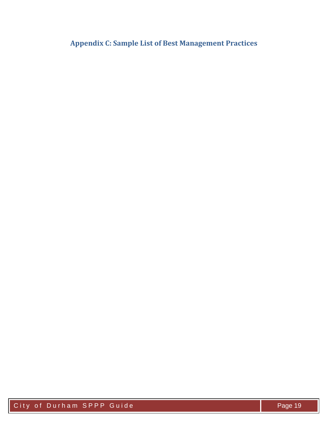<span id="page-19-0"></span>**Appendix C: Sample List of Best Management Practices**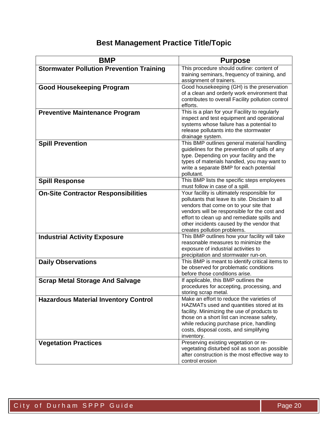## **Best Management Practice Title/Topic**

| <b>BMP</b>                                      | <b>Purpose</b>                                                                                                                                                                                                                                                                                                      |
|-------------------------------------------------|---------------------------------------------------------------------------------------------------------------------------------------------------------------------------------------------------------------------------------------------------------------------------------------------------------------------|
| <b>Stormwater Pollution Prevention Training</b> | This procedure should outline: content of<br>training seminars, frequency of training, and<br>assignment of trainers.                                                                                                                                                                                               |
| <b>Good Housekeeping Program</b>                | Good housekeeping (GH) is the preservation<br>of a clean and orderly work environment that<br>contributes to overall Facility pollution control<br>efforts.                                                                                                                                                         |
| <b>Preventive Maintenance Program</b>           | This is a plan for your Facility to regularly<br>inspect and test equipment and operational<br>systems whose failure has a potential to<br>release pollutants into the stormwater<br>drainage system.                                                                                                               |
| <b>Spill Prevention</b>                         | This BMP outlines general material handling<br>guidelines for the prevention of spills of any<br>type. Depending on your facility and the<br>types of materials handled, you may want to<br>write a separate BMP for each potential<br>pollutant.                                                                   |
| <b>Spill Response</b>                           | This BMP lists the specific steps employees<br>must follow in case of a spill.                                                                                                                                                                                                                                      |
| <b>On-Site Contractor Responsibilities</b>      | Your facility is ultimately responsible for<br>pollutants that leave its site. Disclaim to all<br>vendors that come on to your site that<br>vendors will be responsible for the cost and<br>effort to clean up and remediate spills and<br>other incidents caused by the vendor that<br>creates pollution problems. |
| <b>Industrial Activity Exposure</b>             | This BMP outlines how your facility will take<br>reasonable measures to minimize the<br>exposure of industrial activities to<br>precipitation and stormwater run-on.                                                                                                                                                |
| <b>Daily Observations</b>                       | This BMP is meant to identify critical items to<br>be observed for problematic conditions<br>before those conditions arise.                                                                                                                                                                                         |
| <b>Scrap Metal Storage And Salvage</b>          | If applicable, this BMP outlines the<br>procedures for accepting, processing, and<br>storing scrap metal.                                                                                                                                                                                                           |
| <b>Hazardous Material Inventory Control</b>     | Make an effort to reduce the varieties of<br>HAZMATs used and quantities stored at its<br>facility. Minimizing the use of products to<br>those on a short list can increase safety,<br>while reducing purchase price, handling<br>costs, disposal costs, and simplifying<br>inventory.                              |
| <b>Vegetation Practices</b>                     | Preserving existing vegetation or re-<br>vegetating disturbed soil as soon as possible<br>after construction is the most effective way to<br>control erosion                                                                                                                                                        |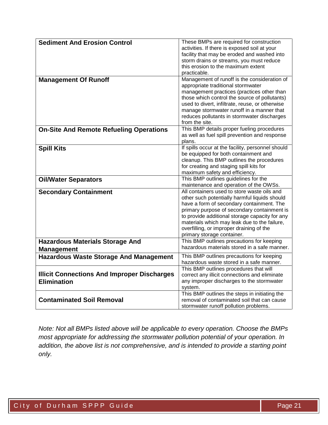| <b>Sediment And Erosion Control</b>                | These BMPs are required for construction          |
|----------------------------------------------------|---------------------------------------------------|
|                                                    | activities. If there is exposed soil at your      |
|                                                    | facility that may be eroded and washed into       |
|                                                    | storm drains or streams, you must reduce          |
|                                                    | this erosion to the maximum extent                |
|                                                    | practicable.                                      |
|                                                    |                                                   |
| <b>Management Of Runoff</b>                        | Management of runoff is the consideration of      |
|                                                    | appropriate traditional stormwater                |
|                                                    | management practices (practices other than        |
|                                                    | those which control the source of pollutants)     |
|                                                    | used to divert, infiltrate, reuse, or otherwise   |
|                                                    | manage stormwater runoff in a manner that         |
|                                                    | reduces pollutants in stormwater discharges       |
|                                                    | from the site.                                    |
| <b>On-Site And Remote Refueling Operations</b>     | This BMP details proper fueling procedures        |
|                                                    | as well as fuel spill prevention and response     |
|                                                    | plans.                                            |
|                                                    |                                                   |
| <b>Spill Kits</b>                                  | If spills occur at the facility, personnel should |
|                                                    | be equipped for both containment and              |
|                                                    | cleanup. This BMP outlines the procedures         |
|                                                    | for creating and staging spill kits for           |
|                                                    | maximum safety and efficiency.                    |
| <b>Oil/Water Separators</b>                        | This BMP outlines guidelines for the              |
|                                                    | maintenance and operation of the OWSs.            |
| <b>Secondary Containment</b>                       | All containers used to store waste oils and       |
|                                                    | other such potentially harmful liquids should     |
|                                                    | have a form of secondary containment. The         |
|                                                    | primary purpose of secondary containment is       |
|                                                    | to provide additional storage capacity for any    |
|                                                    | materials which may leak due to the failure,      |
|                                                    |                                                   |
|                                                    | overfilling, or improper draining of the          |
|                                                    | primary storage container.                        |
| <b>Hazardous Materials Storage And</b>             | This BMP outlines precautions for keeping         |
| <b>Management</b>                                  | hazardous materials stored in a safe manner.      |
| <b>Hazardous Waste Storage And Management</b>      | This BMP outlines precautions for keeping         |
|                                                    | hazardous waste stored in a safe manner.          |
|                                                    | This BMP outlines procedures that will            |
| <b>Illicit Connections And Improper Discharges</b> | correct any illicit connections and eliminate     |
|                                                    |                                                   |
| <b>Elimination</b>                                 | any improper discharges to the stormwater         |
|                                                    | system.                                           |
|                                                    | This BMP outlines the steps in initiating the     |
| <b>Contaminated Soil Removal</b>                   | removal of contaminated soil that can cause       |
|                                                    | stormwater runoff pollution problems.             |

*Note: Not all BMPs listed above will be applicable to every operation. Choose the BMPs most appropriate for addressing the stormwater pollution potential of your operation. In addition, the above list is not comprehensive, and is intended to provide a starting point only.*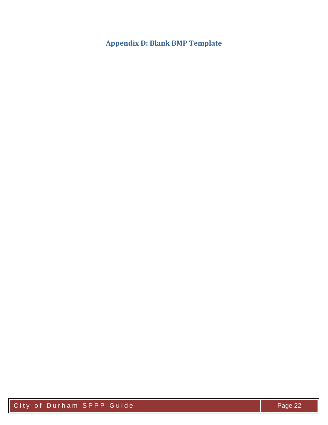<span id="page-22-0"></span>**Appendix D: Blank BMP Template**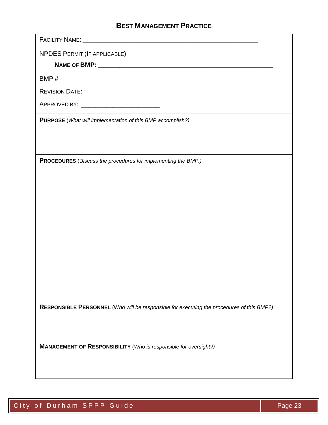## **BEST MANAGEMENT PRACTICE**

| <b>FACILITY NAME:</b> |
|-----------------------|
|-----------------------|

NPDES PERMIT (IF APPLICABLE) \_\_\_\_\_\_\_\_\_\_\_\_\_\_\_\_\_\_\_\_\_\_\_\_\_\_

NAME OF **BMP:**  $\blacksquare$ 

BMP #

REVISION DATE:

APPROVED BY: \_\_\_\_\_\_\_\_\_\_\_\_\_\_\_\_\_\_\_\_\_\_

**PURPOSE** (*What will implementation of this BMP accomplish?)*

**PROCEDURES** (D*iscuss the procedures for implementing the BMP.)*

**RESPONSIBLE PERSONNEL** (W*ho will be responsible for executing the procedures of this BMP?)*

**MANAGEMENT OF RESPONSIBILITY** (*Who is responsible for oversight?)*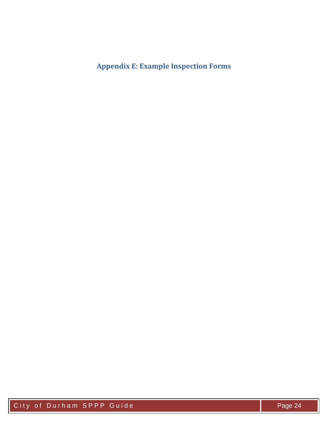<span id="page-24-0"></span>**Appendix E: Example Inspection Forms**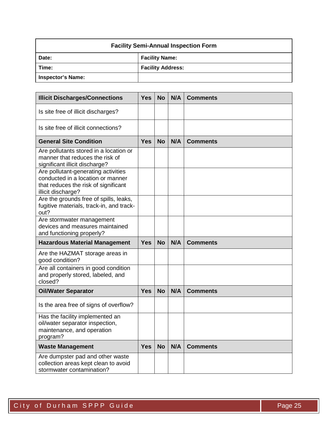| <b>Facility Semi-Annual Inspection Form</b> |                          |  |  |  |
|---------------------------------------------|--------------------------|--|--|--|
| <b>Facility Name:</b><br>Date:              |                          |  |  |  |
| Time:                                       | <b>Facility Address:</b> |  |  |  |
| Inspector's Name:                           |                          |  |  |  |

| <b>Illicit Discharges/Connections</b>                                                                                                  | <b>Yes</b> | <b>No</b> | N/A | <b>Comments</b> |
|----------------------------------------------------------------------------------------------------------------------------------------|------------|-----------|-----|-----------------|
| Is site free of illicit discharges?                                                                                                    |            |           |     |                 |
| Is site free of illicit connections?                                                                                                   |            |           |     |                 |
| <b>General Site Condition</b>                                                                                                          | Yes        | <b>No</b> | N/A | <b>Comments</b> |
| Are pollutants stored in a location or<br>manner that reduces the risk of<br>significant illicit discharge?                            |            |           |     |                 |
| Are pollutant-generating activities<br>conducted in a location or manner<br>that reduces the risk of significant<br>illicit discharge? |            |           |     |                 |
| Are the grounds free of spills, leaks,<br>fugitive materials, track-in, and track-<br>out?                                             |            |           |     |                 |
| Are stormwater management<br>devices and measures maintained<br>and functioning properly?                                              |            |           |     |                 |
| <b>Hazardous Material Management</b>                                                                                                   | <b>Yes</b> | <b>No</b> | N/A | <b>Comments</b> |
| Are the HAZMAT storage areas in<br>good condition?                                                                                     |            |           |     |                 |
| Are all containers in good condition<br>and properly stored, labeled, and<br>closed?                                                   |            |           |     |                 |
| <b>Oil/Water Separator</b>                                                                                                             | <b>Yes</b> | <b>No</b> | N/A | <b>Comments</b> |
| Is the area free of signs of overflow?                                                                                                 |            |           |     |                 |
| Has the facility implemented an<br>oil/water separator inspection,<br>maintenance, and operation<br>program?                           |            |           |     |                 |
| <b>Waste Management</b>                                                                                                                | <b>Yes</b> | <b>No</b> | N/A | <b>Comments</b> |
| Are dumpster pad and other waste<br>collection areas kept clean to avoid<br>stormwater contamination?                                  |            |           |     |                 |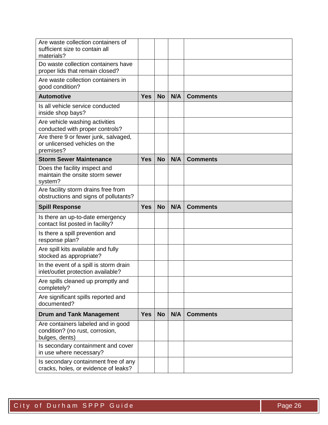| Are waste collection containers of<br>sufficient size to contain all<br>materials?      |            |           |     |                 |
|-----------------------------------------------------------------------------------------|------------|-----------|-----|-----------------|
| Do waste collection containers have<br>proper lids that remain closed?                  |            |           |     |                 |
| Are waste collection containers in<br>good condition?                                   |            |           |     |                 |
| <b>Automotive</b>                                                                       | <b>Yes</b> | <b>No</b> | N/A | <b>Comments</b> |
| Is all vehicle service conducted<br>inside shop bays?                                   |            |           |     |                 |
| Are vehicle washing activities<br>conducted with proper controls?                       |            |           |     |                 |
| Are there 9 or fewer junk, salvaged,<br>or unlicensed vehicles on the<br>premises?      |            |           |     |                 |
| <b>Storm Sewer Maintenance</b>                                                          | <b>Yes</b> | <b>No</b> | N/A | <b>Comments</b> |
| Does the facility inspect and<br>maintain the onsite storm sewer<br>system?             |            |           |     |                 |
| Are facility storm drains free from<br>obstructions and signs of pollutants?            |            |           |     |                 |
| <b>Spill Response</b>                                                                   | <b>Yes</b> | <b>No</b> | N/A | <b>Comments</b> |
| Is there an up-to-date emergency<br>contact list posted in facility?                    |            |           |     |                 |
| Is there a spill prevention and<br>response plan?                                       |            |           |     |                 |
| Are spill kits available and fully<br>stocked as appropriate?                           |            |           |     |                 |
| In the event of a spill is storm drain<br>inlet/outlet protection available?            |            |           |     |                 |
| Are spills cleaned up promptly and<br>completely?                                       |            |           |     |                 |
| Are significant spills reported and<br>documented?                                      |            |           |     |                 |
| <b>Drum and Tank Management</b>                                                         | <b>Yes</b> | <b>No</b> | N/A | <b>Comments</b> |
| Are containers labeled and in good<br>condition? (no rust, corrosion,<br>bulges, dents) |            |           |     |                 |
| Is secondary containment and cover<br>in use where necessary?                           |            |           |     |                 |
| Is secondary containment free of any                                                    |            |           |     |                 |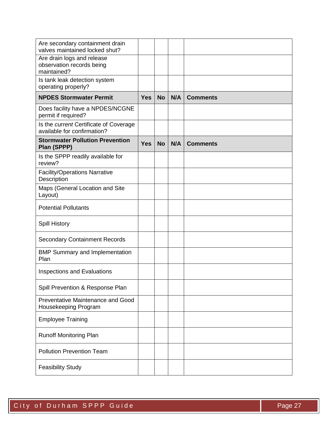| Are secondary containment drain<br>valves maintained locked shut?      |            |           |     |                 |
|------------------------------------------------------------------------|------------|-----------|-----|-----------------|
| Are drain logs and release<br>observation records being<br>maintained? |            |           |     |                 |
| Is tank leak detection system<br>operating properly?                   |            |           |     |                 |
| <b>NPDES Stormwater Permit</b>                                         | <b>Yes</b> | <b>No</b> | N/A | <b>Comments</b> |
| Does facility have a NPDES/NCGNE<br>permit if required?                |            |           |     |                 |
| Is the current Certificate of Coverage<br>available for confirmation?  |            |           |     |                 |
| <b>Stormwater Pollution Prevention</b><br>Plan (SPPP)                  | <b>Yes</b> | <b>No</b> | N/A | <b>Comments</b> |
| Is the SPPP readily available for<br>review?                           |            |           |     |                 |
| <b>Facility/Operations Narrative</b><br>Description                    |            |           |     |                 |
| Maps (General Location and Site<br>Layout)                             |            |           |     |                 |
| <b>Potential Pollutants</b>                                            |            |           |     |                 |
| <b>Spill History</b>                                                   |            |           |     |                 |
| <b>Secondary Containment Records</b>                                   |            |           |     |                 |
| <b>BMP Summary and Implementation</b><br>Plan                          |            |           |     |                 |
| <b>Inspections and Evaluations</b>                                     |            |           |     |                 |
| Spill Prevention & Response Plan                                       |            |           |     |                 |
| Preventative Maintenance and Good<br>Housekeeping Program              |            |           |     |                 |
| <b>Employee Training</b>                                               |            |           |     |                 |
| <b>Runoff Monitoring Plan</b>                                          |            |           |     |                 |
| <b>Pollution Prevention Team</b>                                       |            |           |     |                 |
| <b>Feasibility Study</b>                                               |            |           |     |                 |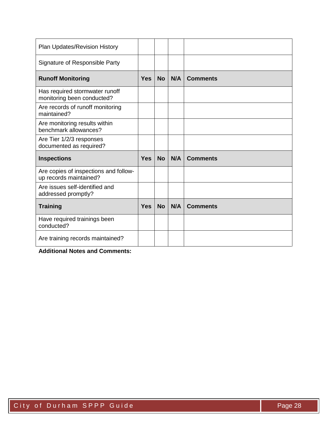| Plan Updates/Revision History                                   |            |           |     |                 |
|-----------------------------------------------------------------|------------|-----------|-----|-----------------|
| Signature of Responsible Party                                  |            |           |     |                 |
| <b>Runoff Monitoring</b>                                        | <b>Yes</b> | <b>No</b> | N/A | <b>Comments</b> |
| Has required stormwater runoff<br>monitoring been conducted?    |            |           |     |                 |
| Are records of runoff monitoring<br>maintained?                 |            |           |     |                 |
| Are monitoring results within<br>benchmark allowances?          |            |           |     |                 |
| Are Tier 1/2/3 responses<br>documented as required?             |            |           |     |                 |
|                                                                 |            |           |     |                 |
| <b>Inspections</b>                                              | <b>Yes</b> | <b>No</b> | N/A | <b>Comments</b> |
| Are copies of inspections and follow-<br>up records maintained? |            |           |     |                 |
| Are issues self-identified and<br>addressed promptly?           |            |           |     |                 |
| <b>Training</b>                                                 | <b>Yes</b> | <b>No</b> | N/A | <b>Comments</b> |
| Have required trainings been<br>conducted?                      |            |           |     |                 |

**Additional Notes and Comments:**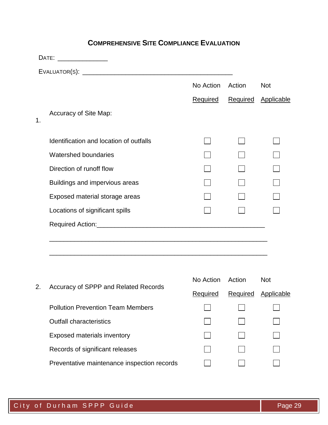## **COMPREHENSIVE SITE COMPLIANCE EVALUATION**

|    | DATE: ________________                  |           |                 |            |
|----|-----------------------------------------|-----------|-----------------|------------|
|    |                                         |           |                 |            |
|    |                                         | No Action | Action          | <b>Not</b> |
|    |                                         | Required  | <b>Required</b> | Applicable |
| 1. | Accuracy of Site Map:                   |           |                 |            |
|    | Identification and location of outfalls |           |                 |            |
|    | Watershed boundaries                    |           |                 |            |
|    | Direction of runoff flow                |           |                 |            |
|    | Buildings and impervious areas          |           |                 |            |
|    | Exposed material storage areas          |           |                 |            |
|    | Locations of significant spills         |           |                 |            |
|    |                                         |           |                 |            |
|    |                                         |           |                 |            |
|    |                                         | No Action | Action          | <b>Not</b> |
| 2. | Accuracy of SPPP and Related Records    | Required  | Required        | Applicable |

| 2. | Accuracy of SPPP and Related Records        | Required | Required | Applicable |
|----|---------------------------------------------|----------|----------|------------|
|    | <b>Pollution Prevention Team Members</b>    |          |          |            |
|    | <b>Outfall characteristics</b>              |          |          |            |
|    | <b>Exposed materials inventory</b>          |          |          |            |
|    | Records of significant releases             |          |          |            |
|    | Preventative maintenance inspection records |          |          |            |
|    |                                             |          |          |            |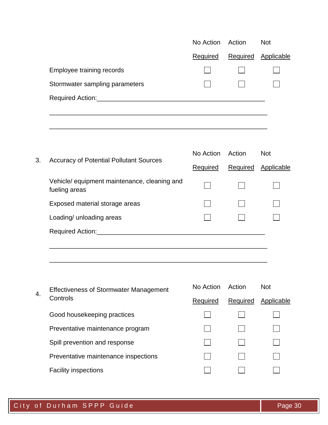|                                                               | No Action       | Action   | <b>Not</b> |
|---------------------------------------------------------------|-----------------|----------|------------|
|                                                               | <b>Required</b> | Required | Applicable |
| Employee training records                                     |                 |          |            |
| Stormwater sampling parameters                                |                 |          |            |
|                                                               |                 |          |            |
|                                                               |                 |          |            |
| <b>Accuracy of Potential Pollutant Sources</b>                | No Action       | Action   | <b>Not</b> |
|                                                               | <b>Required</b> | Required | Applicable |
| Vehicle/ equipment maintenance, cleaning and<br>fueling areas |                 |          |            |
| Exposed material storage areas                                |                 |          |            |
| Loading/ unloading areas                                      |                 |          |            |
|                                                               |                 |          |            |
|                                                               |                 |          |            |
| <b>Effectiveness of Stormwater Management</b>                 | No Action       | Action   | <b>Not</b> |
| Controls                                                      | Required        | Required | Applicable |
| Good housekeeping practices                                   |                 |          |            |
| Preventative maintenance program                              |                 |          |            |
| Spill prevention and response                                 |                 |          |            |
| Preventative maintenance inspections                          |                 |          |            |
| <b>Facility inspections</b>                                   |                 |          |            |
|                                                               |                 |          |            |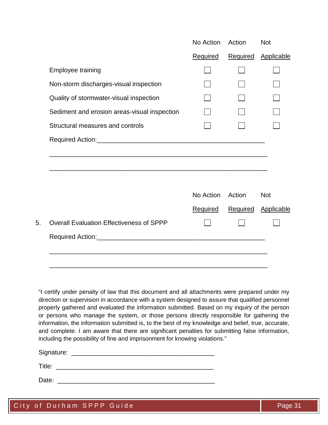|                                                 | No Action       | Action          | <b>Not</b> |
|-------------------------------------------------|-----------------|-----------------|------------|
|                                                 | <b>Required</b> | <b>Required</b> | Applicable |
| <b>Employee training</b>                        |                 |                 |            |
| Non-storm discharges-visual inspection          |                 |                 |            |
| Quality of stormwater-visual inspection         |                 |                 |            |
| Sediment and erosion areas-visual inspection    |                 |                 |            |
| Structural measures and controls                |                 |                 |            |
|                                                 |                 |                 |            |
|                                                 |                 |                 |            |
|                                                 |                 |                 |            |
|                                                 | No Action       | Action          | <b>Not</b> |
|                                                 | <b>Required</b> | Required        | Applicable |
| <b>Overall Evaluation Effectiveness of SPPP</b> |                 |                 |            |

"I certify under penalty of law that this document and all attachments were prepared under my direction or supervision in accordance with a system designed to assure that qualified personnel properly gathered and evaluated the information submitted. Based on my inquiry of the person or persons who manage the system, or those persons directly responsible for gathering the information, the information submitted is, to the best of my knowledge and belief, true, accurate, and complete. I am aware that there are significant penalties for submitting false information, including the possibility of fine and imprisonment for knowing violations."

Signature: \_\_\_\_\_\_\_\_\_\_\_\_\_\_\_\_\_\_\_\_\_\_\_\_\_\_\_\_\_\_\_\_\_\_\_\_\_\_\_\_

Title: \_\_\_\_\_\_\_\_\_\_\_\_\_\_\_\_\_\_\_\_\_\_\_\_\_\_\_\_\_\_\_\_\_\_\_\_\_\_\_\_\_\_\_\_

Date:  $\Box$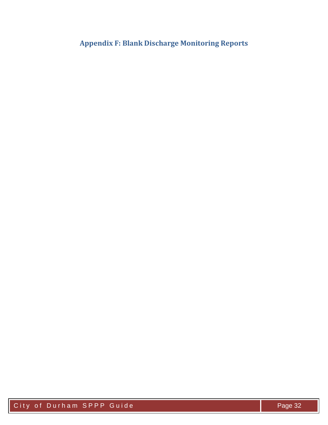<span id="page-32-0"></span>**Appendix F: Blank Discharge Monitoring Reports**

City of Durham SPPP Guide **Page 32**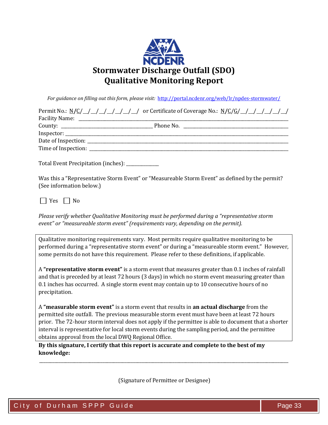

*For guidance on filling out this form, please visit:*<http://portal.ncdenr.org/web/lr/npdes-stormwater/>

| Permit No.: $N/C/$ / / / / / / / / / / or Certificate of Coverage No.: $N/C/G/$ / / / / / / / /                            |
|----------------------------------------------------------------------------------------------------------------------------|
|                                                                                                                            |
|                                                                                                                            |
|                                                                                                                            |
|                                                                                                                            |
|                                                                                                                            |
| Total Event Precipitation (inches): ___________                                                                            |
| Was this a "Representative Storm Event" or "Measureable Storm Event" as defined by the permit?<br>(See information below.) |
| $ $   Yes     No                                                                                                           |

*Please verify whether Qualitative Monitoring must be performed during a "representative storm event" or "measureable storm event" (requirements vary, depending on the permit).* 

Qualitative monitoring requirements vary. Most permits require qualitative monitoring to be performed during a "representative storm event" or during a "measureable storm event." However, some permits do not have this requirement. Please refer to these definitions, if applicable.

A **"representative storm event"** is a storm event that measures greater than 0.1 inches of rainfall and that is preceded by at least 72 hours (3 days) in which no storm event measuring greater than 0.1 inches has occurred. A single storm event may contain up to 10 consecutive hours of no precipitation.

A **"measurable storm event"** is a storm event that results in **an actual discharge** from the permitted site outfall. The previous measurable storm event must have been at least 72 hours prior. The 72-hour storm interval does not apply if the permittee is able to document that a shorter interval is representative for local storm events during the sampling period, and the permittee obtains approval from the local DWQ Regional Office.

**By this signature, I certify that this report is accurate and complete to the best of my knowledge:**

(Signature of Permittee or Designee)

\_\_\_\_\_\_\_\_\_\_\_\_\_\_\_\_\_\_\_\_\_\_\_\_\_\_\_\_\_\_\_\_\_\_\_\_\_\_\_\_\_\_\_\_\_\_\_\_\_\_\_\_\_\_\_\_\_\_\_\_\_\_\_\_\_\_\_\_\_\_\_\_\_\_\_\_\_\_\_\_\_\_\_\_\_\_\_\_\_\_\_\_\_\_\_\_\_\_\_\_\_\_\_\_\_\_\_\_\_\_\_\_\_\_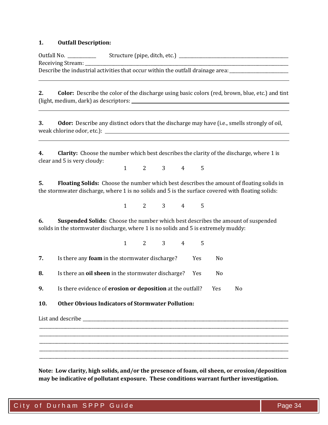#### **1. Outfall Description:**

Outfall No. \_\_\_\_\_\_\_\_\_\_\_\_\_ Structure (pipe, ditch, etc.) \_\_\_\_\_\_\_\_\_\_\_\_\_\_\_\_\_\_\_\_\_\_\_\_\_\_\_\_\_\_\_\_\_\_\_\_\_\_\_\_\_\_\_\_\_\_\_\_\_\_ Receiving Stream: \_\_\_\_\_\_\_\_\_\_\_\_\_\_\_\_\_\_\_\_\_\_\_\_\_\_\_\_\_\_\_\_\_\_\_\_\_\_\_\_\_\_\_\_\_\_\_\_\_\_\_\_\_\_\_\_\_\_\_\_\_\_\_\_\_\_\_\_\_\_\_\_\_\_\_\_\_\_\_\_\_\_\_\_\_\_\_\_\_\_\_\_\_ Describe the industrial activities that occur within the outfall drainage area: \_\_\_\_\_\_\_\_\_\_\_\_\_\_\_\_\_\_\_\_

**2. Color:** Describe the color of the discharge using basic colors (red, brown, blue, etc.) and tint (light, medium, dark) as descriptors:

**3. Odor:** Describe any distinct odors that the discharge may have (i.e., smells strongly of oil, weak chlorine odor, etc.):

**4. Clarity:** Choose the number which best describes the clarity of the discharge, where 1 is clear and 5 is very cloudy:

1 2 3 4 5

**5. Floating Solids:** Choose the number which best describes the amount of floating solids in the stormwater discharge, where 1 is no solids and 5 is the surface covered with floating solids:

1 2 3 4 5

**6. Suspended Solids:** Choose the number which best describes the amount of suspended solids in the stormwater discharge, where 1 is no solids and 5 is extremely muddy:

1 2 3 4 5 **7.** Is there any **foam** in the stormwater discharge? Yes No **8.** Is there an **oil sheen** in the stormwater discharge? Yes No **9.** Is there evidence of **erosion or deposition** at the outfall? Yes No **10. Other Obvious Indicators of Stormwater Pollution:**

List and describe  $\Box$ 

**Note: Low clarity, high solids, and/or the presence of foam, oil sheen, or erosion/deposition may be indicative of pollutant exposure. These conditions warrant further investigation.**

\_\_\_\_\_\_\_\_\_\_\_\_\_\_\_\_\_\_\_\_\_\_\_\_\_\_\_\_\_\_\_\_\_\_\_\_\_\_\_\_\_\_\_\_\_\_\_\_\_\_\_\_\_\_\_\_\_\_\_\_\_\_\_\_\_\_\_\_\_\_\_\_\_\_\_\_\_\_\_\_\_\_\_\_\_\_\_\_\_\_\_\_\_\_\_\_\_\_\_\_\_\_\_\_\_\_\_\_\_\_\_\_\_\_ \_\_\_\_\_\_\_\_\_\_\_\_\_\_\_\_\_\_\_\_\_\_\_\_\_\_\_\_\_\_\_\_\_\_\_\_\_\_\_\_\_\_\_\_\_\_\_\_\_\_\_\_\_\_\_\_\_\_\_\_\_\_\_\_\_\_\_\_\_\_\_\_\_\_\_\_\_\_\_\_\_\_\_\_\_\_\_\_\_\_\_\_\_\_\_\_\_\_\_\_\_\_\_\_\_\_\_\_\_\_\_\_\_\_ \_\_\_\_\_\_\_\_\_\_\_\_\_\_\_\_\_\_\_\_\_\_\_\_\_\_\_\_\_\_\_\_\_\_\_\_\_\_\_\_\_\_\_\_\_\_\_\_\_\_\_\_\_\_\_\_\_\_\_\_\_\_\_\_\_\_\_\_\_\_\_\_\_\_\_\_\_\_\_\_\_\_\_\_\_\_\_\_\_\_\_\_\_\_\_\_\_\_\_\_\_\_\_\_\_\_\_\_\_\_\_\_\_\_ \_\_\_\_\_\_\_\_\_\_\_\_\_\_\_\_\_\_\_\_\_\_\_\_\_\_\_\_\_\_\_\_\_\_\_\_\_\_\_\_\_\_\_\_\_\_\_\_\_\_\_\_\_\_\_\_\_\_\_\_\_\_\_\_\_\_\_\_\_\_\_\_\_\_\_\_\_\_\_\_\_\_\_\_\_\_\_\_\_\_\_\_\_\_\_\_\_\_\_\_\_\_\_\_\_\_\_\_\_\_\_\_\_\_ \_\_\_\_\_\_\_\_\_\_\_\_\_\_\_\_\_\_\_\_\_\_\_\_\_\_\_\_\_\_\_\_\_\_\_\_\_\_\_\_\_\_\_\_\_\_\_\_\_\_\_\_\_\_\_\_\_\_\_\_\_\_\_\_\_\_\_\_\_\_\_\_\_\_\_\_\_\_\_\_\_\_\_\_\_\_\_\_\_\_\_\_\_\_\_\_\_\_\_\_\_\_\_\_\_\_\_\_\_\_\_\_\_\_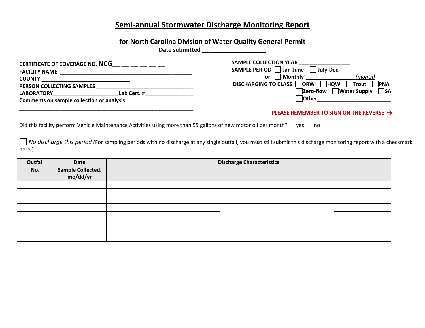## **Semi-annual Stormwater Discharge Monitoring Report**

## **for North Carolina Division of Water Quality General Permit**

**Date submitted \_\_\_\_\_\_\_\_\_\_\_\_\_\_\_\_\_\_\_\_**

| <b>CERTIFICATE OF COVERAGE NO. NCG</b>            |             | <b>SAMPLE COLLECTION YEAR</b>                                                                 |
|---------------------------------------------------|-------------|-----------------------------------------------------------------------------------------------|
| <b>FACILITY NAME</b>                              |             | <b>SAMPLE PERIOD</b><br>Jan-June<br>July-Dec                                                  |
| <b>COUNTY</b>                                     |             | $\mathsf{\mid}$ Monthly $\mathsf{\scriptstyle\cdot}^{\text{\tiny L}}$<br>(month)<br><b>or</b> |
| <b>PERSON COLLECTING SAMPLES</b>                  |             | <b>DISCHARGING TO CLASS</b><br><b>ORW</b><br><b>PNA</b><br><b>HQW</b><br>Trout                |
| <b>LABORATORY</b>                                 | Lab Cert. # | <b>SA</b><br><b>Zero-flow</b><br><b>Water Supply</b>                                          |
| <b>Comments on sample collection or analysis:</b> |             | <b>Other</b>                                                                                  |
|                                                   |             |                                                                                               |

#### **PLEASE REMEMBER TO SIGN ON THE REVERSE**

Did this facility perform Vehicle Maintenance Activities using more than 55 gallons of new motor oil per month? \_\_ yes \_\_no

*No discharge this period (For sampling periods with no discharge at any single outfall, you must still submit this discharge monitoring report with a checkmark* here.)

| Outfall | Date                          | <b>Discharge Characteristics</b> |  |  |  |  |  |  |
|---------|-------------------------------|----------------------------------|--|--|--|--|--|--|
| No.     |                               |                                  |  |  |  |  |  |  |
|         | Sample Collected,<br>mo/dd/yr |                                  |  |  |  |  |  |  |
|         |                               |                                  |  |  |  |  |  |  |
|         |                               |                                  |  |  |  |  |  |  |
|         |                               |                                  |  |  |  |  |  |  |
|         |                               |                                  |  |  |  |  |  |  |
|         |                               |                                  |  |  |  |  |  |  |
|         |                               |                                  |  |  |  |  |  |  |
|         |                               |                                  |  |  |  |  |  |  |
|         |                               |                                  |  |  |  |  |  |  |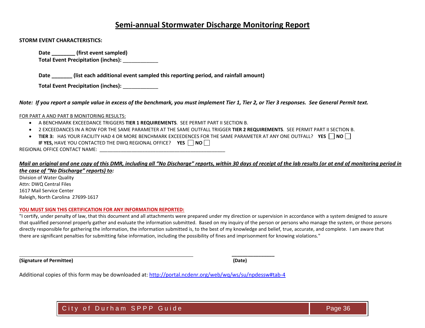## **Semi-annual Stormwater Discharge Monitoring Report**

#### **STORM EVENT CHARACTERISTICS:**

Date (first event sampled) **Total Event Precipitation (inches):** \_\_\_\_\_\_\_\_\_\_\_\_

**Date \_\_\_\_\_\_\_ (list each additional event sampled this reporting period, and rainfall amount)**

**Total Event Precipitation (inches):** \_\_\_\_\_\_\_\_\_\_\_\_

*Note: If you report a sample value in excess of the benchmark, you must implement Tier 1, Tier 2, or Tier 3 responses. See General Permit text.*

#### FOR PART A AND PART B MONITORING RESULTS:

- A BENCHMARK EXCEEDANCE TRIGGERS **TIER 1 REQUIREMENTS**. SEE PERMIT PART II SECTION B.
- 2 EXCEEDANCES IN A ROW FOR THE SAME PARAMETER AT THE SAME OUTFALL TRIGGER **TIER 2 REQUIREMENTS**. SEE PERMIT PART II SECTION B.
- **TIER 3:** HAS YOUR FACILITY HAD 4 OR MORE BENCHMARK EXCEEDENCES FOR THE SAME PARAMETER AT ANY ONE OUTFALL? YES  $\Box$  NO  $\Box$ **IF YES, HAVE YOU CONTACTED THE DWQ REGIONAL OFFICE? YES**  $\Box$  **NO** $\Box$

REGIONAL OFFICE CONTACT NAME:  $\blacksquare$ 

#### *Mail an original and one copy of this DMR, including all "No Discharge" reports, within 30 days of receipt of the lab results (or at end of monitoring period in the case of "No Discharge" reports) to:*

Division of Water Quality Attn: DWQ Central Files 1617 Mail Service Center Raleigh, North Carolina 27699-1617

#### **YOU MUST SIGN THIS CERTIFICATION FOR ANY INFORMATION REPORTED:**

"I certify, under penalty of law, that this document and all attachments were prepared under my direction or supervision in accordance with a system designed to assure that qualified personnel properly gather and evaluate the information submitted. Based on my inquiry of the person or persons who manage the system, or those persons directly responsible for gathering the information, the information submitted is, to the best of my knowledge and belief, true, accurate, and complete. I am aware that there are significant penalties for submitting false information, including the possibility of fines and imprisonment for knowing violations."

**(Signature of Permittee) (Date)**

**\_\_\_\_\_\_\_\_\_\_\_\_\_\_\_\_**

Additional copies of this form may be downloaded at:<http://portal.ncdenr.org/web/wq/ws/su/npdessw#tab-4>

City of Durham SPPP Guide **Page 36**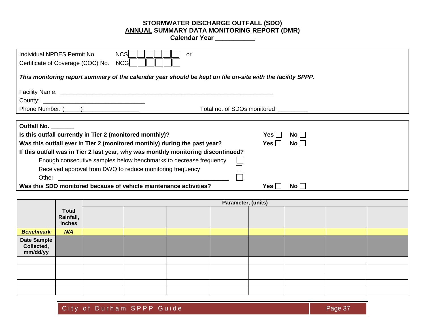#### **STORMWATER DISCHARGE OUTFALL (SDO) ANNUAL SUMMARY DATA MONITORING REPORT (DMR)**

**Calendar Year \_\_\_\_\_\_\_\_\_\_\_**

| <b>NCS</b><br>Individual NPDES Permit No.<br>or<br>Certificate of Coverage (COC) No.<br><b>NCG</b>         |                             |  |  |  |  |  |  |
|------------------------------------------------------------------------------------------------------------|-----------------------------|--|--|--|--|--|--|
| This monitoring report summary of the calendar year should be kept on file on-site with the facility SPPP. |                             |  |  |  |  |  |  |
|                                                                                                            |                             |  |  |  |  |  |  |
|                                                                                                            |                             |  |  |  |  |  |  |
| Phone Number: ( )                                                                                          | Total no. of SDOs monitored |  |  |  |  |  |  |
|                                                                                                            |                             |  |  |  |  |  |  |
| <b>Outfall No.</b>                                                                                         |                             |  |  |  |  |  |  |
| Is this outfall currently in Tier 2 (monitored monthly)?                                                   | No    <br>Yes⊺              |  |  |  |  |  |  |
| Was this outfall ever in Tier 2 (monitored monthly) during the past year?                                  | $No$ $\vert$<br>Yes         |  |  |  |  |  |  |
| If this outfall was in Tier 2 last year, why was monthly monitoring discontinued?                          |                             |  |  |  |  |  |  |
| Enough consecutive samples below benchmarks to decrease frequency                                          |                             |  |  |  |  |  |  |
| Received approval from DWQ to reduce monitoring frequency                                                  |                             |  |  |  |  |  |  |
| Other                                                                                                      |                             |  |  |  |  |  |  |
| Was this SDO monitored because of vehicle maintenance activities?                                          | No  <br>Yes l               |  |  |  |  |  |  |

|                                       |                                     | Parameter, (units) |  |  |  |  |  |  |
|---------------------------------------|-------------------------------------|--------------------|--|--|--|--|--|--|
|                                       | <b>Total</b><br>Rainfall,<br>inches |                    |  |  |  |  |  |  |
| <b>Benchmark</b>                      | N/A                                 |                    |  |  |  |  |  |  |
| Date Sample<br>Collected,<br>mm/dd/yy |                                     |                    |  |  |  |  |  |  |
|                                       |                                     |                    |  |  |  |  |  |  |
|                                       |                                     |                    |  |  |  |  |  |  |
|                                       |                                     |                    |  |  |  |  |  |  |
|                                       |                                     |                    |  |  |  |  |  |  |
|                                       |                                     |                    |  |  |  |  |  |  |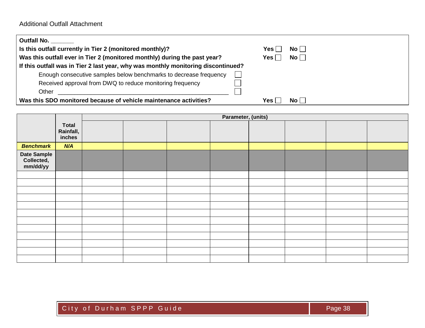| <b>Outfall No.</b>                                                                |       |      |  |
|-----------------------------------------------------------------------------------|-------|------|--|
| Is this outfall currently in Tier 2 (monitored monthly)?                          | Yes ∣ | No l |  |
| Was this outfall ever in Tier 2 (monitored monthly) during the past year?         | Yes l | No   |  |
| If this outfall was in Tier 2 last year, why was monthly monitoring discontinued? |       |      |  |
| Enough consecutive samples below benchmarks to decrease frequency                 |       |      |  |
| Received approval from DWQ to reduce monitoring frequency                         |       |      |  |
| Other                                                                             |       |      |  |
| Was this SDO monitored because of vehicle maintenance activities?                 | Yes l | No l |  |

|                                       |                                     | Parameter, (units) |  |  |  |  |  |  |
|---------------------------------------|-------------------------------------|--------------------|--|--|--|--|--|--|
|                                       | <b>Total</b><br>Rainfall,<br>inches |                    |  |  |  |  |  |  |
| <b>Benchmark</b>                      | N/A                                 |                    |  |  |  |  |  |  |
| Date Sample<br>Collected,<br>mm/dd/yy |                                     |                    |  |  |  |  |  |  |
|                                       |                                     |                    |  |  |  |  |  |  |
|                                       |                                     |                    |  |  |  |  |  |  |
|                                       |                                     |                    |  |  |  |  |  |  |
|                                       |                                     |                    |  |  |  |  |  |  |
|                                       |                                     |                    |  |  |  |  |  |  |
|                                       |                                     |                    |  |  |  |  |  |  |
|                                       |                                     |                    |  |  |  |  |  |  |
|                                       |                                     |                    |  |  |  |  |  |  |
|                                       |                                     |                    |  |  |  |  |  |  |
|                                       |                                     |                    |  |  |  |  |  |  |
|                                       |                                     |                    |  |  |  |  |  |  |
|                                       |                                     |                    |  |  |  |  |  |  |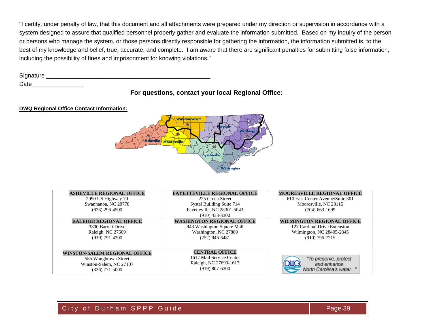"I certify, under penalty of law, that this document and all attachments were prepared under my direction or supervision in accordance with a system designed to assure that qualified personnel properly gather and evaluate the information submitted. Based on my inquiry of the person or persons who manage the system, or those persons directly responsible for gathering the information, the information submitted is, to the best of my knowledge and belief, true, accurate, and complete. I am aware that there are significant penalties for submitting false information, including the possibility of fines and imprisonment for knowing violations."

Signature \_\_\_\_\_\_\_\_\_\_\_\_\_\_\_\_\_\_\_\_\_\_\_\_\_\_\_\_\_\_\_\_\_\_\_\_\_\_\_\_\_\_\_\_\_\_\_\_\_\_ Date \_\_\_\_\_\_\_\_\_\_\_\_\_\_\_

## **For questions, contact your local Regional Office:**

#### **DWQ Regional Office Contact Information:**



| <b>ASHEVILLE REGIONAL OFFICE</b><br>2090 US Highway 70<br>Swannanoa, NC 28778<br>$(828)$ 296-4500    | <b>FAYETTEVILLE REGIONAL OFFICE</b><br>225 Green Street<br>Systel Building Suite 714<br>Fayetteville, NC 28301-5043<br>$(910)$ 433-3300 | <b>MOORESVILLE REGIONAL OFFICE</b><br>610 East Center Avenue/Suite 301<br>Mooresville, NC 28115<br>$(704)$ 663-1699 |
|------------------------------------------------------------------------------------------------------|-----------------------------------------------------------------------------------------------------------------------------------------|---------------------------------------------------------------------------------------------------------------------|
| <b>RALEIGH REGIONAL OFFICE</b><br>3800 Barrett Drive<br>Raleigh, NC 27609<br>$(919) 791 - 4200$      | <b>WASHINGTON REGIONAL OFFICE</b><br>943 Washington Square Mall<br>Washington, NC 27889<br>$(252)$ 946-6481                             | <b>WILMINGTON REGIONAL OFFICE</b><br>127 Cardinal Drive Extension<br>Wilmington, NC 28405-2845<br>$(910)$ 796-7215  |
| WINSTON-SALEM REGIONAL OFFICE<br>585 Waughtown Street<br>Winston-Salem, NC 27107<br>$(336)$ 771-5000 | <b>CENTRAL OFFICE</b><br>1617 Mail Service Center<br>Raleigh, NC 27699-1617<br>$(919)$ 807-6300                                         | "To preserve, protect<br>and enhance<br>North Carolina's water                                                      |

## City of Durham SPPP Guide Page 39